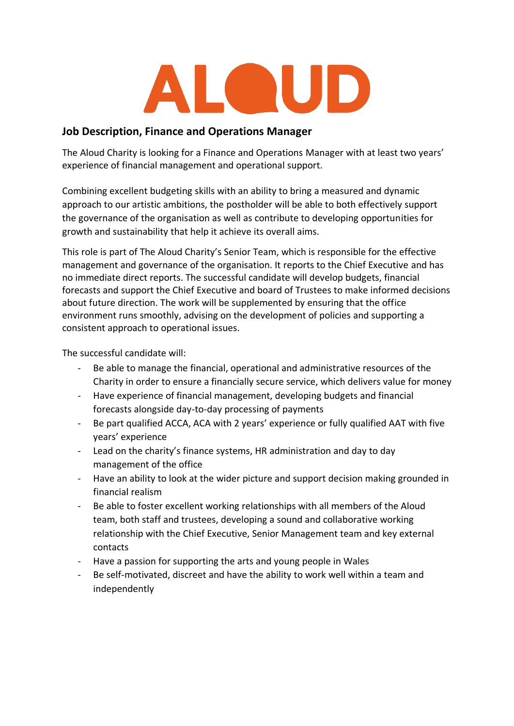

## **Job Description, Finance and Operations Manager**

The Aloud Charity is looking for a Finance and Operations Manager with at least two years' experience of financial management and operational support.

Combining excellent budgeting skills with an ability to bring a measured and dynamic approach to our artistic ambitions, the postholder will be able to both effectively support the governance of the organisation as well as contribute to developing opportunities for growth and sustainability that help it achieve its overall aims.

This role is part of The Aloud Charity's Senior Team, which is responsible for the effective management and governance of the organisation. It reports to the Chief Executive and has no immediate direct reports. The successful candidate will develop budgets, financial forecasts and support the Chief Executive and board of Trustees to make informed decisions about future direction. The work will be supplemented by ensuring that the office environment runs smoothly, advising on the development of policies and supporting a consistent approach to operational issues.

The successful candidate will:

- Be able to manage the financial, operational and administrative resources of the Charity in order to ensure a financially secure service, which delivers value for money
- Have experience of financial management, developing budgets and financial forecasts alongside day-to-day processing of payments
- Be part qualified ACCA, ACA with 2 years' experience or fully qualified AAT with five years' experience
- Lead on the charity's finance systems, HR administration and day to day management of the office
- Have an ability to look at the wider picture and support decision making grounded in financial realism
- Be able to foster excellent working relationships with all members of the Aloud team, both staff and trustees, developing a sound and collaborative working relationship with the Chief Executive, Senior Management team and key external contacts
- Have a passion for supporting the arts and young people in Wales
- Be self-motivated, discreet and have the ability to work well within a team and independently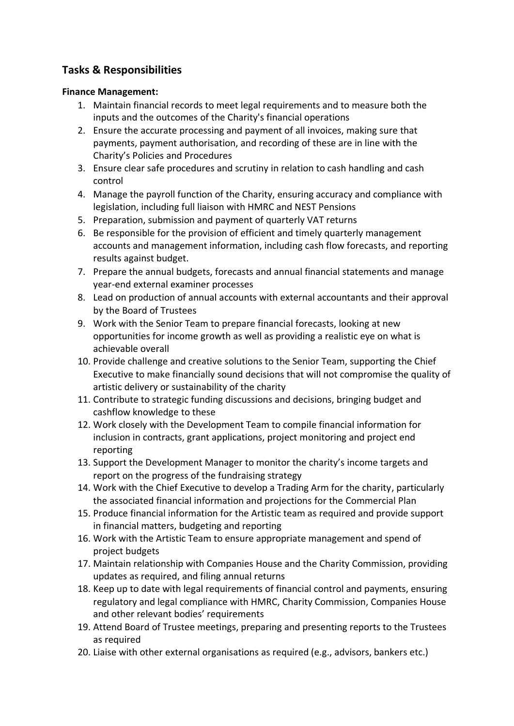# **Tasks & Responsibilities**

#### **Finance Management:**

- 1. Maintain financial records to meet legal requirements and to measure both the inputs and the outcomes of the Charity's financial operations
- 2. Ensure the accurate processing and payment of all invoices, making sure that payments, payment authorisation, and recording of these are in line with the Charity's Policies and Procedures
- 3. Ensure clear safe procedures and scrutiny in relation to cash handling and cash control
- 4. Manage the payroll function of the Charity, ensuring accuracy and compliance with legislation, including full liaison with HMRC and NEST Pensions
- 5. Preparation, submission and payment of quarterly VAT returns
- 6. Be responsible for the provision of efficient and timely quarterly management accounts and management information, including cash flow forecasts, and reporting results against budget.
- 7. Prepare the annual budgets, forecasts and annual financial statements and manage year-end external examiner processes
- 8. Lead on production of annual accounts with external accountants and their approval by the Board of Trustees
- 9. Work with the Senior Team to prepare financial forecasts, looking at new opportunities for income growth as well as providing a realistic eye on what is achievable overall
- 10. Provide challenge and creative solutions to the Senior Team, supporting the Chief Executive to make financially sound decisions that will not compromise the quality of artistic delivery or sustainability of the charity
- 11. Contribute to strategic funding discussions and decisions, bringing budget and cashflow knowledge to these
- 12. Work closely with the Development Team to compile financial information for inclusion in contracts, grant applications, project monitoring and project end reporting
- 13. Support the Development Manager to monitor the charity's income targets and report on the progress of the fundraising strategy
- 14. Work with the Chief Executive to develop a Trading Arm for the charity, particularly the associated financial information and projections for the Commercial Plan
- 15. Produce financial information for the Artistic team as required and provide support in financial matters, budgeting and reporting
- 16. Work with the Artistic Team to ensure appropriate management and spend of project budgets
- 17. Maintain relationship with Companies House and the Charity Commission, providing updates as required, and filing annual returns
- 18. Keep up to date with legal requirements of financial control and payments, ensuring regulatory and legal compliance with HMRC, Charity Commission, Companies House and other relevant bodies' requirements
- 19. Attend Board of Trustee meetings, preparing and presenting reports to the Trustees as required
- 20. Liaise with other external organisations as required (e.g., advisors, bankers etc.)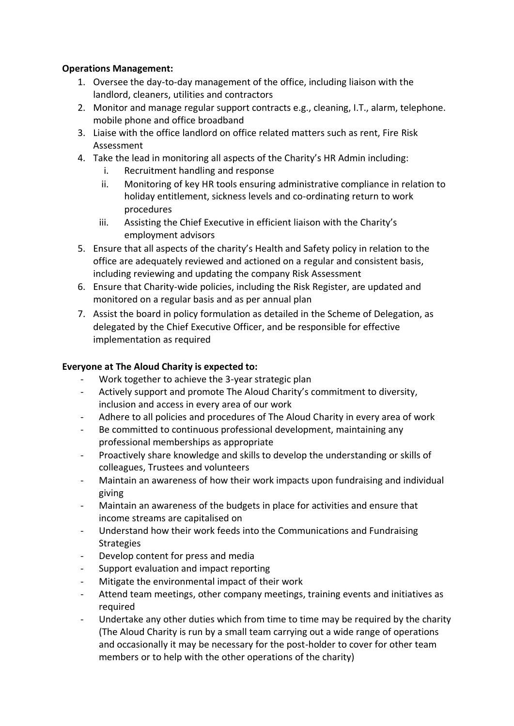#### **Operations Management:**

- 1. Oversee the day-to-day management of the office, including liaison with the landlord, cleaners, utilities and contractors
- 2. Monitor and manage regular support contracts e.g., cleaning, I.T., alarm, telephone. mobile phone and office broadband
- 3. Liaise with the office landlord on office related matters such as rent, Fire Risk Assessment
- 4. Take the lead in monitoring all aspects of the Charity's HR Admin including:
	- i. Recruitment handling and response
	- ii. Monitoring of key HR tools ensuring administrative compliance in relation to holiday entitlement, sickness levels and co-ordinating return to work procedures
	- iii. Assisting the Chief Executive in efficient liaison with the Charity's employment advisors
- 5. Ensure that all aspects of the charity's Health and Safety policy in relation to the office are adequately reviewed and actioned on a regular and consistent basis, including reviewing and updating the company Risk Assessment
- 6. Ensure that Charity-wide policies, including the Risk Register, are updated and monitored on a regular basis and as per annual plan
- 7. Assist the board in policy formulation as detailed in the Scheme of Delegation, as delegated by the Chief Executive Officer, and be responsible for effective implementation as required

### **Everyone at The Aloud Charity is expected to:**

- Work together to achieve the 3-year strategic plan
- Actively support and promote The Aloud Charity's commitment to diversity, inclusion and access in every area of our work
- Adhere to all policies and procedures of The Aloud Charity in every area of work
- Be committed to continuous professional development, maintaining any professional memberships as appropriate
- Proactively share knowledge and skills to develop the understanding or skills of colleagues, Trustees and volunteers
- Maintain an awareness of how their work impacts upon fundraising and individual giving
- Maintain an awareness of the budgets in place for activities and ensure that income streams are capitalised on
- Understand how their work feeds into the Communications and Fundraising **Strategies**
- Develop content for press and media
- Support evaluation and impact reporting
- Mitigate the environmental impact of their work
- Attend team meetings, other company meetings, training events and initiatives as required
- Undertake any other duties which from time to time may be required by the charity (The Aloud Charity is run by a small team carrying out a wide range of operations and occasionally it may be necessary for the post-holder to cover for other team members or to help with the other operations of the charity)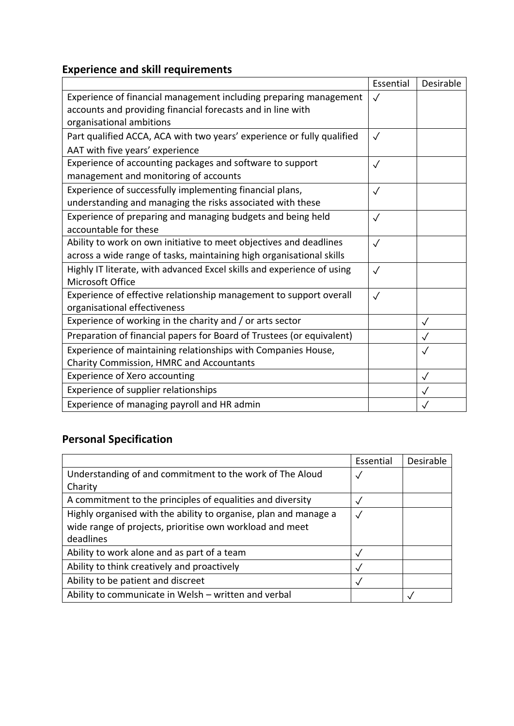# **Experience and skill requirements**

|                                                                        | Essential    | Desirable    |
|------------------------------------------------------------------------|--------------|--------------|
| Experience of financial management including preparing management      | $\checkmark$ |              |
| accounts and providing financial forecasts and in line with            |              |              |
| organisational ambitions                                               |              |              |
| Part qualified ACCA, ACA with two years' experience or fully qualified | $\checkmark$ |              |
| AAT with five years' experience                                        |              |              |
| Experience of accounting packages and software to support              | $\checkmark$ |              |
| management and monitoring of accounts                                  |              |              |
| Experience of successfully implementing financial plans,               | $\checkmark$ |              |
| understanding and managing the risks associated with these             |              |              |
| Experience of preparing and managing budgets and being held            | $\checkmark$ |              |
| accountable for these                                                  |              |              |
| Ability to work on own initiative to meet objectives and deadlines     | $\checkmark$ |              |
| across a wide range of tasks, maintaining high organisational skills   |              |              |
| Highly IT literate, with advanced Excel skills and experience of using | $\sqrt{}$    |              |
| Microsoft Office                                                       |              |              |
| Experience of effective relationship management to support overall     | $\sqrt{}$    |              |
| organisational effectiveness                                           |              |              |
| Experience of working in the charity and / or arts sector              |              | $\checkmark$ |
| Preparation of financial papers for Board of Trustees (or equivalent)  |              | $\checkmark$ |
| Experience of maintaining relationships with Companies House,          |              | $\checkmark$ |
| Charity Commission, HMRC and Accountants                               |              |              |
| <b>Experience of Xero accounting</b>                                   |              | $\sqrt{}$    |
| Experience of supplier relationships                                   |              |              |
| Experience of managing payroll and HR admin                            |              |              |

# **Personal Specification**

|                                                                  | Essential    | Desirable |
|------------------------------------------------------------------|--------------|-----------|
| Understanding of and commitment to the work of The Aloud         | $\checkmark$ |           |
| Charity                                                          |              |           |
| A commitment to the principles of equalities and diversity       |              |           |
| Highly organised with the ability to organise, plan and manage a | $\checkmark$ |           |
| wide range of projects, prioritise own workload and meet         |              |           |
| deadlines                                                        |              |           |
| Ability to work alone and as part of a team                      | √            |           |
| Ability to think creatively and proactively                      |              |           |
| Ability to be patient and discreet                               | $\checkmark$ |           |
| Ability to communicate in Welsh - written and verbal             |              |           |